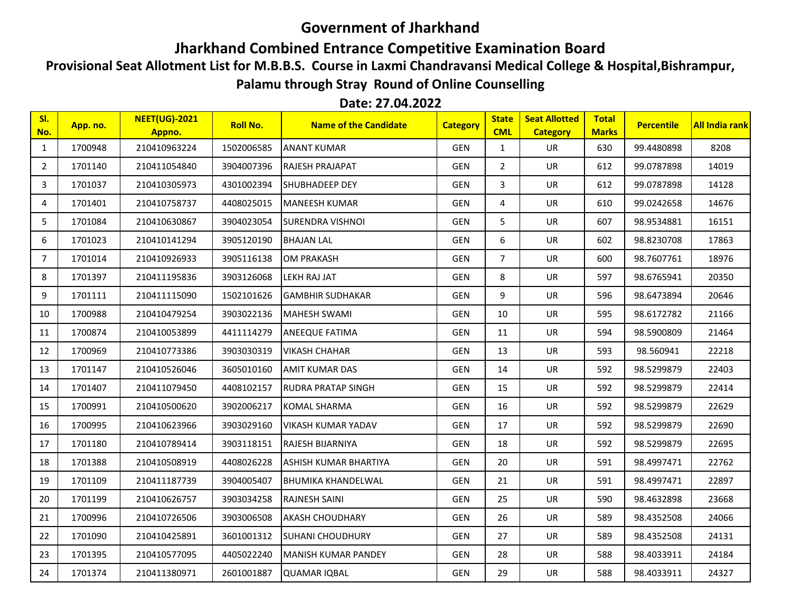## **Government of Jharkhand**

## **Jharkhand Combined Entrance Competitive Examination Board**

**Provisional Seat Allotment List for M.B.B.S. Course in Laxmi Chandravansi Medical College & Hospital,Bishrampur,** 

**Palamu through Stray Round of Online Counselling**

## **Date: 27.04.2022**

| SI.<br>No.     | App. no. | <b>NEET(UG)-2021</b><br>Appno. | <b>Roll No.</b> | <b>Name of the Candidate</b> | <b>Category</b> | <b>State</b><br><b>CML</b> | <b>Seat Allotted</b><br><b>Category</b> | <b>Total</b><br><b>Marks</b> | <b>Percentile</b> | <b>All India rank</b> |
|----------------|----------|--------------------------------|-----------------|------------------------------|-----------------|----------------------------|-----------------------------------------|------------------------------|-------------------|-----------------------|
| $\mathbf{1}$   | 1700948  | 210410963224                   | 1502006585      | <b>ANANT KUMAR</b>           | <b>GEN</b>      | $\mathbf{1}$               | UR                                      | 630                          | 99.4480898        | 8208                  |
| $\overline{2}$ | 1701140  | 210411054840                   | 3904007396      | RAJESH PRAJAPAT              | <b>GEN</b>      | $\overline{2}$             | <b>UR</b>                               | 612                          | 99.0787898        | 14019                 |
| 3              | 1701037  | 210410305973                   | 4301002394      | SHUBHADEEP DEY               | <b>GEN</b>      | 3                          | UR                                      | 612                          | 99.0787898        | 14128                 |
| 4              | 1701401  | 210410758737                   | 4408025015      | <b>MANEESH KUMAR</b>         | <b>GEN</b>      | 4                          | UR                                      | 610                          | 99.0242658        | 14676                 |
| 5              | 1701084  | 210410630867                   | 3904023054      | SURENDRA VISHNOI             | GEN             | 5                          | UR                                      | 607                          | 98.9534881        | 16151                 |
| 6              | 1701023  | 210410141294                   | 3905120190      | <b>BHAJAN LAL</b>            | GEN             | 6                          | UR                                      | 602                          | 98.8230708        | 17863                 |
| 7              | 1701014  | 210410926933                   | 3905116138      | <b>OM PRAKASH</b>            | GEN             | $\overline{7}$             | UR                                      | 600                          | 98.7607761        | 18976                 |
| 8              | 1701397  | 210411195836                   | 3903126068      | LEKH RAJ JAT                 | <b>GEN</b>      | 8                          | <b>UR</b>                               | 597                          | 98.6765941        | 20350                 |
| 9              | 1701111  | 210411115090                   | 1502101626      | <b>GAMBHIR SUDHAKAR</b>      | GEN             | 9                          | UR                                      | 596                          | 98.6473894        | 20646                 |
| 10             | 1700988  | 210410479254                   | 3903022136      | <b>MAHESH SWAMI</b>          | <b>GEN</b>      | 10                         | UR                                      | 595                          | 98.6172782        | 21166                 |
| 11             | 1700874  | 210410053899                   | 4411114279      | ANEEQUE FATIMA               | <b>GEN</b>      | 11                         | UR                                      | 594                          | 98.5900809        | 21464                 |
| 12             | 1700969  | 210410773386                   | 3903030319      | <b>VIKASH CHAHAR</b>         | GEN             | 13                         | UR                                      | 593                          | 98.560941         | 22218                 |
| 13             | 1701147  | 210410526046                   | 3605010160      | AMIT KUMAR DAS               | <b>GEN</b>      | 14                         | UR                                      | 592                          | 98.5299879        | 22403                 |
| 14             | 1701407  | 210411079450                   | 4408102157      | RUDRA PRATAP SINGH           | <b>GEN</b>      | 15                         | UR                                      | 592                          | 98.5299879        | 22414                 |
| 15             | 1700991  | 210410500620                   | 3902006217      | <b>KOMAL SHARMA</b>          | <b>GEN</b>      | 16                         | UR                                      | 592                          | 98.5299879        | 22629                 |
| 16             | 1700995  | 210410623966                   | 3903029160      | VIKASH KUMAR YADAV           | <b>GEN</b>      | 17                         | UR                                      | 592                          | 98.5299879        | 22690                 |
| 17             | 1701180  | 210410789414                   | 3903118151      | RAJESH BIJARNIYA             | <b>GEN</b>      | 18                         | UR                                      | 592                          | 98.5299879        | 22695                 |
| 18             | 1701388  | 210410508919                   | 4408026228      | ASHISH KUMAR BHARTIYA        | <b>GEN</b>      | 20                         | UR                                      | 591                          | 98.4997471        | 22762                 |
| 19             | 1701109  | 210411187739                   | 3904005407      | BHUMIKA KHANDELWAL           | GEN             | 21                         | UR                                      | 591                          | 98.4997471        | 22897                 |
| 20             | 1701199  | 210410626757                   | 3903034258      | RAJNESH SAINI                | <b>GEN</b>      | 25                         | UR                                      | 590                          | 98.4632898        | 23668                 |
| 21             | 1700996  | 210410726506                   | 3903006508      | <b>AKASH CHOUDHARY</b>       | GEN             | 26                         | UR                                      | 589                          | 98.4352508        | 24066                 |
| 22             | 1701090  | 210410425891                   | 3601001312      | SUHANI CHOUDHURY             | <b>GEN</b>      | 27                         | UR                                      | 589                          | 98.4352508        | 24131                 |
| 23             | 1701395  | 210410577095                   | 4405022240      | MANISH KUMAR PANDEY          | <b>GEN</b>      | 28                         | UR                                      | 588                          | 98.4033911        | 24184                 |
| 24             | 1701374  | 210411380971                   | 2601001887      | <b>QUAMAR IQBAL</b>          | <b>GEN</b>      | 29                         | <b>UR</b>                               | 588                          | 98.4033911        | 24327                 |